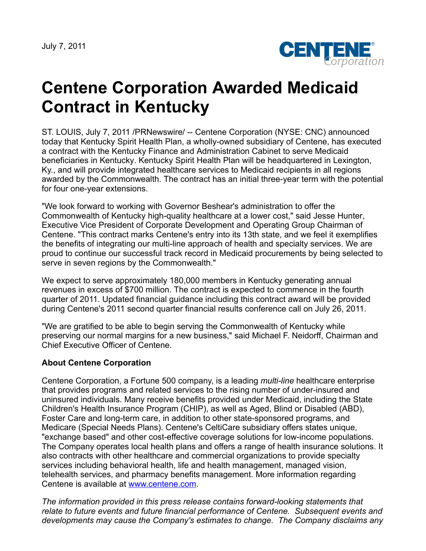July 7, 2011



## **Centene Corporation Awarded Medicaid Contract in Kentucky**

ST. LOUIS, July 7, 2011 /PRNewswire/ -- Centene Corporation (NYSE: CNC) announced today that Kentucky Spirit Health Plan, a wholly-owned subsidiary of Centene, has executed a contract with the Kentucky Finance and Administration Cabinet to serve Medicaid beneficiaries in Kentucky. Kentucky Spirit Health Plan will be headquartered in Lexington, Ky., and will provide integrated healthcare services to Medicaid recipients in all regions awarded by the Commonwealth. The contract has an initial three-year term with the potential for four one-year extensions.

"We look forward to working with Governor Beshear's administration to offer the Commonwealth of Kentucky high-quality healthcare at a lower cost," said Jesse Hunter, Executive Vice President of Corporate Development and Operating Group Chairman of Centene. "This contract marks Centene's entry into its 13th state, and we feel it exemplifies the benefits of integrating our multi-line approach of health and specialty services. We are proud to continue our successful track record in Medicaid procurements by being selected to serve in seven regions by the Commonwealth."

We expect to serve approximately 180,000 members in Kentucky generating annual revenues in excess of \$700 million. The contract is expected to commence in the fourth quarter of 2011. Updated financial guidance including this contract award will be provided during Centene's 2011 second quarter financial results conference call on July 26, 2011.

"We are gratified to be able to begin serving the Commonwealth of Kentucky while preserving our normal margins for a new business," said Michael F. Neidorff, Chairman and Chief Executive Officer of Centene.

## **About Centene Corporation**

Centene Corporation, a Fortune 500 company, is a leading *multi-line* healthcare enterprise that provides programs and related services to the rising number of under-insured and uninsured individuals. Many receive benefits provided under Medicaid, including the State Children's Health Insurance Program (CHIP), as well as Aged, Blind or Disabled (ABD), Foster Care and long-term care, in addition to other state-sponsored programs, and Medicare (Special Needs Plans). Centene's CeltiCare subsidiary offers states unique, "exchange based" and other cost-effective coverage solutions for low-income populations. The Company operates local health plans and offers a range of health insurance solutions. It also contracts with other healthcare and commercial organizations to provide specialty services including behavioral health, life and health management, managed vision, telehealth services, and pharmacy benefits management. More information regarding Centene is available at [www.centene.com](http://www.centene.com/).

*The information provided in this press release contains forward-looking statements that relate to future events and future financial performance of Centene. Subsequent events and developments may cause the Company's estimates to change. The Company disclaims any*